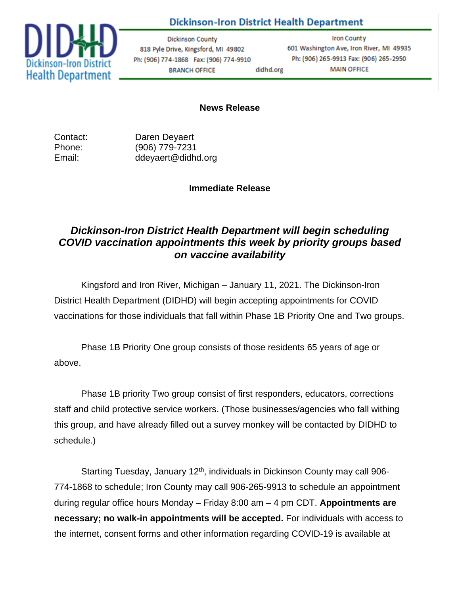## **Dickinson-Iron District Health Department**



**Dickinson County** 818 Pyle Drive, Kingsford, MI 49802 Ph: (906) 774-1868 Fax: (906) 774-9910 **BRANCH OFFICE** didhd.org

**Iron County** 601 Washington Ave, Iron River, MI 49935 Ph: (906) 265-9913 Fax: (906) 265-2950 **MAIN OFFICE** 

## **News Release**

Contact: Daren Deyaert Phone: (906) 779-7231 Email: ddeyaert@didhd.org

## **Immediate Release**

## *Dickinson-Iron District Health Department will begin scheduling COVID vaccination appointments this week by priority groups based on vaccine availability*

Kingsford and Iron River, Michigan – January 11, 2021. The Dickinson-Iron District Health Department (DIDHD) will begin accepting appointments for COVID vaccinations for those individuals that fall within Phase 1B Priority One and Two groups.

Phase 1B Priority One group consists of those residents 65 years of age or above.

Phase 1B priority Two group consist of first responders, educators, corrections staff and child protective service workers. (Those businesses/agencies who fall withing this group, and have already filled out a survey monkey will be contacted by DIDHD to schedule.)

Starting Tuesday, January 12<sup>th</sup>, individuals in Dickinson County may call 906-774-1868 to schedule; Iron County may call 906-265-9913 to schedule an appointment during regular office hours Monday – Friday 8:00 am – 4 pm CDT. **Appointments are necessary; no walk-in appointments will be accepted.** For individuals with access to the internet, consent forms and other information regarding COVID-19 is available at